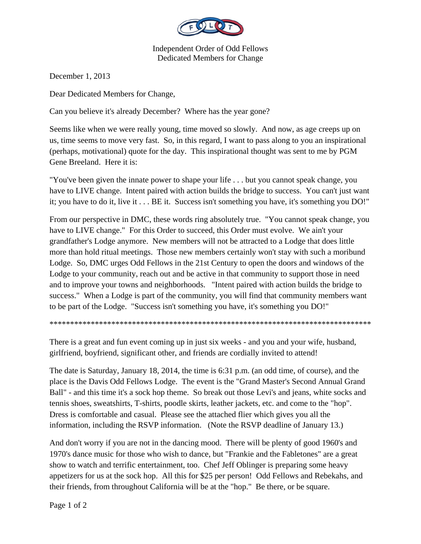

Independent Order of Odd Fellows Dedicated Members for Change

December 1, 2013

Dear Dedicated Members for Change,

Can you believe it's already December? Where has the year gone?

Seems like when we were really young, time moved so slowly. And now, as age creeps up on us, time seems to move very fast. So, in this regard, I want to pass along to you an inspirational (perhaps, motivational) quote for the day. This inspirational thought was sent to me by PGM Gene Breeland. Here it is:

"You've been given the innate power to shape your life . . . but you cannot speak change, you have to LIVE change. Intent paired with action builds the bridge to success. You can't just want it; you have to do it, live it . . . BE it. Success isn't something you have, it's something you DO!"

From our perspective in DMC, these words ring absolutely true. "You cannot speak change, you have to LIVE change." For this Order to succeed, this Order must evolve. We ain't your grandfather's Lodge anymore. New members will not be attracted to a Lodge that does little more than hold ritual meetings. Those new members certainly won't stay with such a moribund Lodge. So, DMC urges Odd Fellows in the 21st Century to open the doors and windows of the Lodge to your community, reach out and be active in that community to support those in need and to improve your towns and neighborhoods. "Intent paired with action builds the bridge to success." When a Lodge is part of the community, you will find that community members want to be part of the Lodge. "Success isn't something you have, it's something you DO!"

\*\*\*\*\*\*\*\*\*\*\*\*\*\*\*\*\*\*\*\*\*\*\*\*\*\*\*\*\*\*\*\*\*\*\*\*\*\*\*\*\*\*\*\*\*\*\*\*\*\*\*\*\*\*\*\*\*\*\*\*\*\*\*\*\*\*\*\*\*\*\*\*\*\*\*\*\*\*

There is a great and fun event coming up in just six weeks - and you and your wife, husband, girlfriend, boyfriend, significant other, and friends are cordially invited to attend!

The date is Saturday, January 18, 2014, the time is 6:31 p.m. (an odd time, of course), and the place is the Davis Odd Fellows Lodge. The event is the "Grand Master's Second Annual Grand Ball" - and this time it's a sock hop theme. So break out those Levi's and jeans, white socks and tennis shoes, sweatshirts, T-shirts, poodle skirts, leather jackets, etc. and come to the "hop". Dress is comfortable and casual. Please see the attached flier which gives you all the information, including the RSVP information. (Note the RSVP deadline of January 13.)

And don't worry if you are not in the dancing mood. There will be plenty of good 1960's and 1970's dance music for those who wish to dance, but "Frankie and the Fabletones" are a great show to watch and terrific entertainment, too. Chef Jeff Oblinger is preparing some heavy appetizers for us at the sock hop. All this for \$25 per person! Odd Fellows and Rebekahs, and their friends, from throughout California will be at the "hop." Be there, or be square.